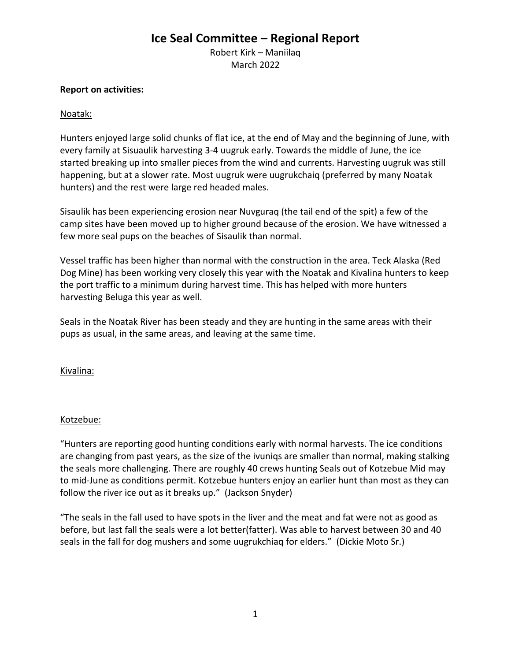# **Ice Seal Committee – Regional Report**

Robert Kirk – Maniilaq March 2022

### **Report on activities:**

## Noatak:

Hunters enjoyed large solid chunks of flat ice, at the end of May and the beginning of June, with every family at Sisuaulik harvesting 3-4 uugruk early. Towards the middle of June, the ice started breaking up into smaller pieces from the wind and currents. Harvesting uugruk was still happening, but at a slower rate. Most uugruk were uugrukchaiq (preferred by many Noatak hunters) and the rest were large red headed males.

Sisaulik has been experiencing erosion near Nuvguraq (the tail end of the spit) a few of the camp sites have been moved up to higher ground because of the erosion. We have witnessed a few more seal pups on the beaches of Sisaulik than normal.

Vessel traffic has been higher than normal with the construction in the area. Teck Alaska (Red Dog Mine) has been working very closely this year with the Noatak and Kivalina hunters to keep the port traffic to a minimum during harvest time. This has helped with more hunters harvesting Beluga this year as well.

Seals in the Noatak River has been steady and they are hunting in the same areas with their pups as usual, in the same areas, and leaving at the same time.

Kivalina:

## Kotzebue:

"Hunters are reporting good hunting conditions early with normal harvests. The ice conditions are changing from past years, as the size of the ivuniqs are smaller than normal, making stalking the seals more challenging. There are roughly 40 crews hunting Seals out of Kotzebue Mid may to mid-June as conditions permit. Kotzebue hunters enjoy an earlier hunt than most as they can follow the river ice out as it breaks up." (Jackson Snyder)

"The seals in the fall used to have spots in the liver and the meat and fat were not as good as before, but last fall the seals were a lot better(fatter). Was able to harvest between 30 and 40 seals in the fall for dog mushers and some uugrukchiaq for elders." (Dickie Moto Sr.)